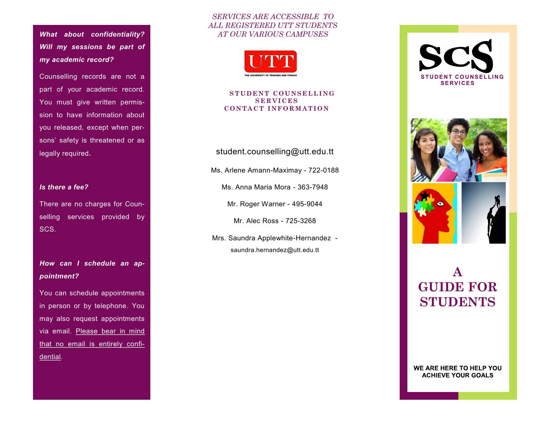*What about confidentiality? Will my sessions be part of my academic record?* 

Counselling records are not a part of your academic record. You must give written permission to have information about you released, except when persons' safety is threatened or as legally required**.** 

## *Is there a fee?*

There are no charges for Counselling services provided by SCS.

*How can I schedule an appointment?*

You can schedule appointments in person or by telephone. You may also request appointments via email. Please bear in mind that no email is entirely confidential.

## *SERVICES ARE ACCESSIBLE TO ALL REGISTERED UTT STUDENTS AT OUR VARIOUS CAMPUSES*



#### **STUDENT COUNSELLING S E R V I C E S C O N T A C T I N F O R M A T I O N**

## student.counselling@utt.edu.tt

Ms. Arlene Amann-Maximay - 722-0188

Ms. Anna Maria Mora - 363-7948

Mr. Roger Warner - 495-9044

Mr. Alec Ross - 725-3268

Mrs. Saundra Applewhite-Hernandez saundra.hernandez@utt.edu.tt



# **A GUIDE FOR STUDENTS**

WE ARE HERE TO HELP YOU **ACHIEVE YOUR GOALS**